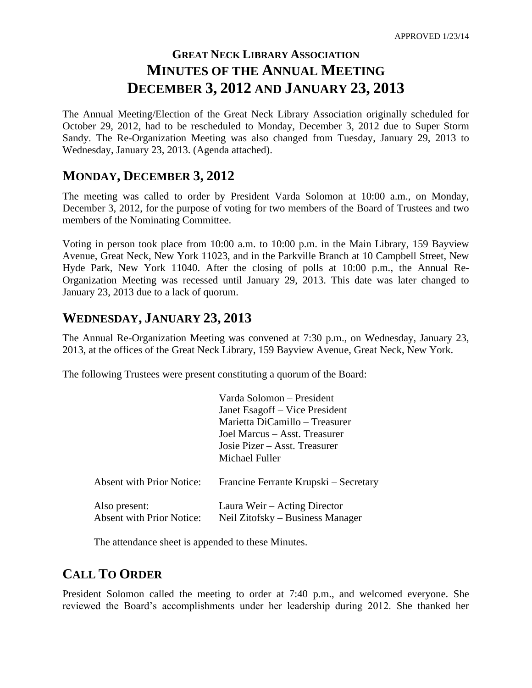# **GREAT NECK LIBRARY ASSOCIATION MINUTES OF THE ANNUAL MEETING DECEMBER 3, 2012 AND JANUARY 23, 2013**

The Annual Meeting/Election of the Great Neck Library Association originally scheduled for October 29, 2012, had to be rescheduled to Monday, December 3, 2012 due to Super Storm Sandy. The Re-Organization Meeting was also changed from Tuesday, January 29, 2013 to Wednesday, January 23, 2013. (Agenda attached).

### **MONDAY, DECEMBER 3, 2012**

The meeting was called to order by President Varda Solomon at 10:00 a.m., on Monday, December 3, 2012, for the purpose of voting for two members of the Board of Trustees and two members of the Nominating Committee.

Voting in person took place from 10:00 a.m. to 10:00 p.m. in the Main Library, 159 Bayview Avenue, Great Neck, New York 11023, and in the Parkville Branch at 10 Campbell Street, New Hyde Park, New York 11040. After the closing of polls at 10:00 p.m., the Annual Re-Organization Meeting was recessed until January 29, 2013. This date was later changed to January 23, 2013 due to a lack of quorum.

### **WEDNESDAY, JANUARY 23, 2013**

The Annual Re-Organization Meeting was convened at 7:30 p.m., on Wednesday, January 23, 2013, at the offices of the Great Neck Library, 159 Bayview Avenue, Great Neck, New York.

The following Trustees were present constituting a quorum of the Board:

|                                                   | Varda Solomon – President<br>Janet Esagoff – Vice President<br>Marietta DiCamillo – Treasurer<br>Joel Marcus – Asst. Treasurer<br>Josie Pizer – Asst. Treasurer<br>Michael Fuller |
|---------------------------------------------------|-----------------------------------------------------------------------------------------------------------------------------------------------------------------------------------|
| <b>Absent with Prior Notice:</b>                  | Francine Ferrante Krupski – Secretary                                                                                                                                             |
| Also present:<br><b>Absent with Prior Notice:</b> | Laura Weir – Acting Director<br>Neil Zitofsky – Business Manager                                                                                                                  |

The attendance sheet is appended to these Minutes.

### **CALL TO ORDER**

President Solomon called the meeting to order at 7:40 p.m., and welcomed everyone. She reviewed the Board's accomplishments under her leadership during 2012. She thanked her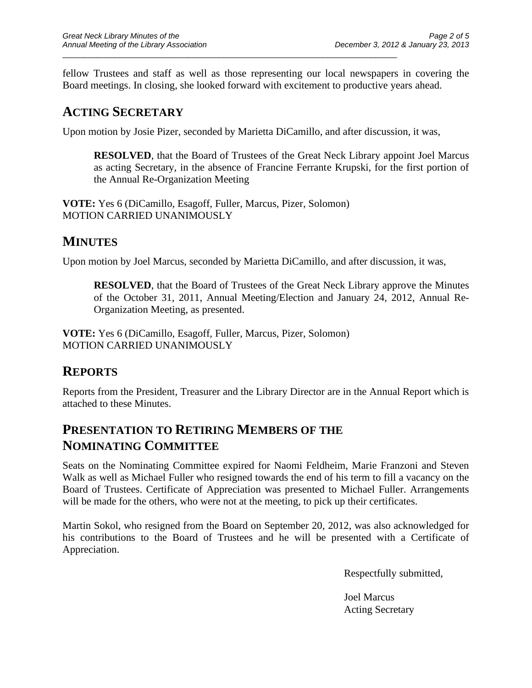fellow Trustees and staff as well as those representing our local newspapers in covering the Board meetings. In closing, she looked forward with excitement to productive years ahead.

## **ACTING SECRETARY**

Upon motion by Josie Pizer, seconded by Marietta DiCamillo, and after discussion, it was,

\_\_\_\_\_\_\_\_\_\_\_\_\_\_\_\_\_\_\_\_\_\_\_\_\_\_\_\_\_\_\_\_\_\_\_\_\_\_\_\_\_\_\_\_\_\_\_\_\_\_\_\_\_\_\_\_\_\_\_\_\_\_\_\_\_\_\_\_\_\_\_\_\_\_\_\_\_

**RESOLVED**, that the Board of Trustees of the Great Neck Library appoint Joel Marcus as acting Secretary, in the absence of Francine Ferrante Krupski, for the first portion of the Annual Re-Organization Meeting

**VOTE:** Yes 6 (DiCamillo, Esagoff, Fuller, Marcus, Pizer, Solomon) MOTION CARRIED UNANIMOUSLY

### **MINUTES**

Upon motion by Joel Marcus, seconded by Marietta DiCamillo, and after discussion, it was,

**RESOLVED**, that the Board of Trustees of the Great Neck Library approve the Minutes of the October 31, 2011, Annual Meeting/Election and January 24, 2012, Annual Re-Organization Meeting, as presented.

**VOTE:** Yes 6 (DiCamillo, Esagoff, Fuller, Marcus, Pizer, Solomon) MOTION CARRIED UNANIMOUSLY

## **REPORTS**

Reports from the President, Treasurer and the Library Director are in the Annual Report which is attached to these Minutes.

## **PRESENTATION TO RETIRING MEMBERS OF THE NOMINATING COMMITTEE**

Seats on the Nominating Committee expired for Naomi Feldheim, Marie Franzoni and Steven Walk as well as Michael Fuller who resigned towards the end of his term to fill a vacancy on the Board of Trustees. Certificate of Appreciation was presented to Michael Fuller. Arrangements will be made for the others, who were not at the meeting, to pick up their certificates.

Martin Sokol, who resigned from the Board on September 20, 2012, was also acknowledged for his contributions to the Board of Trustees and he will be presented with a Certificate of Appreciation.

Respectfully submitted,

Joel Marcus Acting Secretary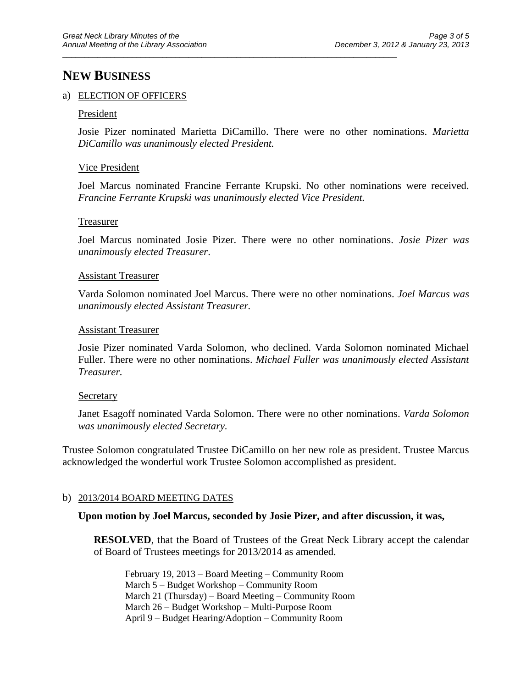## **NEW BUSINESS**

#### a) ELECTION OF OFFICERS

#### President

Josie Pizer nominated Marietta DiCamillo. There were no other nominations. *Marietta DiCamillo was unanimously elected President.*

\_\_\_\_\_\_\_\_\_\_\_\_\_\_\_\_\_\_\_\_\_\_\_\_\_\_\_\_\_\_\_\_\_\_\_\_\_\_\_\_\_\_\_\_\_\_\_\_\_\_\_\_\_\_\_\_\_\_\_\_\_\_\_\_\_\_\_\_\_\_\_\_\_\_\_\_\_

#### Vice President

Joel Marcus nominated Francine Ferrante Krupski. No other nominations were received. *Francine Ferrante Krupski was unanimously elected Vice President.*

#### Treasurer

Joel Marcus nominated Josie Pizer. There were no other nominations. *Josie Pizer was unanimously elected Treasurer*.

#### Assistant Treasurer

Varda Solomon nominated Joel Marcus. There were no other nominations. *Joel Marcus was unanimously elected Assistant Treasurer.*

#### Assistant Treasurer

Josie Pizer nominated Varda Solomon, who declined. Varda Solomon nominated Michael Fuller. There were no other nominations. *Michael Fuller was unanimously elected Assistant Treasurer.*

#### **Secretary**

Janet Esagoff nominated Varda Solomon. There were no other nominations. *Varda Solomon was unanimously elected Secretary.*

Trustee Solomon congratulated Trustee DiCamillo on her new role as president. Trustee Marcus acknowledged the wonderful work Trustee Solomon accomplished as president.

#### b) 2013/2014 BOARD MEETING DATES

#### **Upon motion by Joel Marcus, seconded by Josie Pizer, and after discussion, it was,**

**RESOLVED**, that the Board of Trustees of the Great Neck Library accept the calendar of Board of Trustees meetings for 2013/2014 as amended.

February 19, 2013 – Board Meeting – Community Room March 5 – Budget Workshop – Community Room March 21 (Thursday) – Board Meeting – Community Room March 26 – Budget Workshop – Multi-Purpose Room April 9 – Budget Hearing/Adoption – Community Room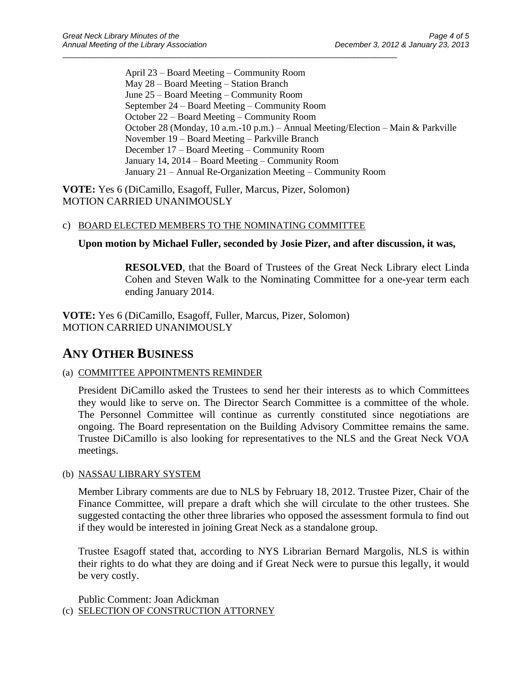April 23 – Board Meeting – Community Room May 28 – Board Meeting – Station Branch June 25 – Board Meeting – Community Room September 24 – Board Meeting – Community Room October 22 – Board Meeting – Community Room October 28 (Monday, 10 a.m.-10 p.m.) – Annual Meeting/Election – Main & Parkville November 19 – Board Meeting – Parkville Branch December 17 – Board Meeting – Community Room January 14, 2014 – Board Meeting – Community Room January 21 – Annual Re-Organization Meeting – Community Room

**VOTE:** Yes 6 (DiCamillo, Esagoff, Fuller, Marcus, Pizer, Solomon) MOTION CARRIED UNANIMOUSLY

### c) BOARD ELECTED MEMBERS TO THE NOMINATING COMMITTEE

\_\_\_\_\_\_\_\_\_\_\_\_\_\_\_\_\_\_\_\_\_\_\_\_\_\_\_\_\_\_\_\_\_\_\_\_\_\_\_\_\_\_\_\_\_\_\_\_\_\_\_\_\_\_\_\_\_\_\_\_\_\_\_\_\_\_\_\_\_\_\_\_\_\_\_\_\_

### **Upon motion by Michael Fuller, seconded by Josie Pizer, and after discussion, it was,**

**RESOLVED**, that the Board of Trustees of the Great Neck Library elect Linda Cohen and Steven Walk to the Nominating Committee for a one-year term each ending January 2014.

**VOTE:** Yes 6 (DiCamillo, Esagoff, Fuller, Marcus, Pizer, Solomon) MOTION CARRIED UNANIMOUSLY

### **ANY OTHER BUSINESS**

### (a) COMMITTEE APPOINTMENTS REMINDER

President DiCamillo asked the Trustees to send her their interests as to which Committees they would like to serve on. The Director Search Committee is a committee of the whole. The Personnel Committee will continue as currently constituted since negotiations are ongoing. The Board representation on the Building Advisory Committee remains the same. Trustee DiCamillo is also looking for representatives to the NLS and the Great Neck VOA meetings.

### (b) NASSAU LIBRARY SYSTEM

Member Library comments are due to NLS by February 18, 2012. Trustee Pizer, Chair of the Finance Committee, will prepare a draft which she will circulate to the other trustees. She suggested contacting the other three libraries who opposed the assessment formula to find out if they would be interested in joining Great Neck as a standalone group.

Trustee Esagoff stated that, according to NYS Librarian Bernard Margolis, NLS is within their rights to do what they are doing and if Great Neck were to pursue this legally, it would be very costly.

Public Comment: Joan Adickman (c) SELECTION OF CONSTRUCTION ATTORNEY